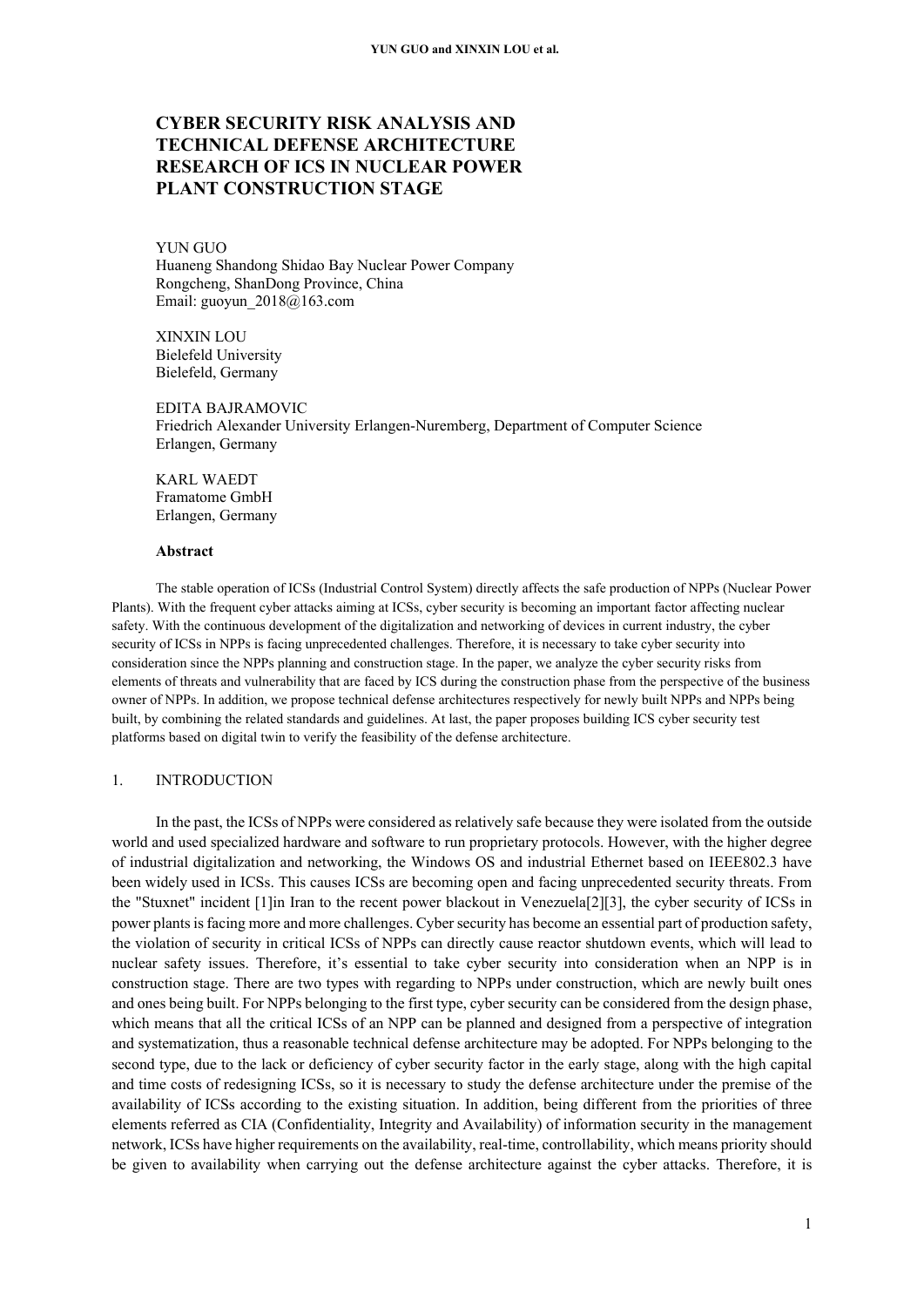# **CYBER SECURITY RISK ANALYSIS AND TECHNICAL DEFENSE ARCHITECTURE RESEARCH OF ICS IN NUCLEAR POWER PLANT CONSTRUCTION STAGE**

# YUN GUO

Huaneng Shandong Shidao Bay Nuclear Power Company Rongcheng, ShanDong Province, China Email: guoyun\_2018@163.com

XINXIN LOU Bielefeld University Bielefeld, Germany

EDITA BAJRAMOVIC Friedrich Alexander University Erlangen-Nuremberg, Department of Computer Science Erlangen, Germany

KARL WAEDT Framatome GmbH Erlangen, Germany

#### **Abstract**

The stable operation of ICSs (Industrial Control System) directly affects the safe production of NPPs (Nuclear Power Plants). With the frequent cyber attacks aiming at ICSs, cyber security is becoming an important factor affecting nuclear safety. With the continuous development of the digitalization and networking of devices in current industry, the cyber security of ICSs in NPPs is facing unprecedented challenges. Therefore, it is necessary to take cyber security into consideration since the NPPs planning and construction stage. In the paper, we analyze the cyber security risks from elements of threats and vulnerability that are faced by ICS during the construction phase from the perspective of the business owner of NPPs. In addition, we propose technical defense architectures respectively for newly built NPPs and NPPs being built, by combining the related standards and guidelines. At last, the paper proposes building ICS cyber security test platforms based on digital twin to verify the feasibility of the defense architecture.

# 1. INTRODUCTION

In the past, the ICSs of NPPs were considered as relatively safe because they were isolated from the outside world and used specialized hardware and software to run proprietary protocols. However, with the higher degree of industrial digitalization and networking, the Windows OS and industrial Ethernet based on IEEE802.3 have been widely used in ICSs. This causes ICSs are becoming open and facing unprecedented security threats. From the "Stuxnet" incident [1]in Iran to the recent power blackout in Venezuela[2][3], the cyber security of ICSs in power plants is facing more and more challenges. Cyber security has become an essential part of production safety, the violation of security in critical ICSs of NPPs can directly cause reactor shutdown events, which will lead to nuclear safety issues. Therefore, it's essential to take cyber security into consideration when an NPP is in construction stage. There are two types with regarding to NPPs under construction, which are newly built ones and ones being built. For NPPs belonging to the first type, cyber security can be considered from the design phase, which means that all the critical ICSs of an NPP can be planned and designed from a perspective of integration and systematization, thus a reasonable technical defense architecture may be adopted. For NPPs belonging to the second type, due to the lack or deficiency of cyber security factor in the early stage, along with the high capital and time costs of redesigning ICSs, so it is necessary to study the defense architecture under the premise of the availability of ICSs according to the existing situation. In addition, being different from the priorities of three elements referred as CIA (Confidentiality, Integrity and Availability) of information security in the management network, ICSs have higher requirements on the availability, real-time, controllability, which means priority should be given to availability when carrying out the defense architecture against the cyber attacks. Therefore, it is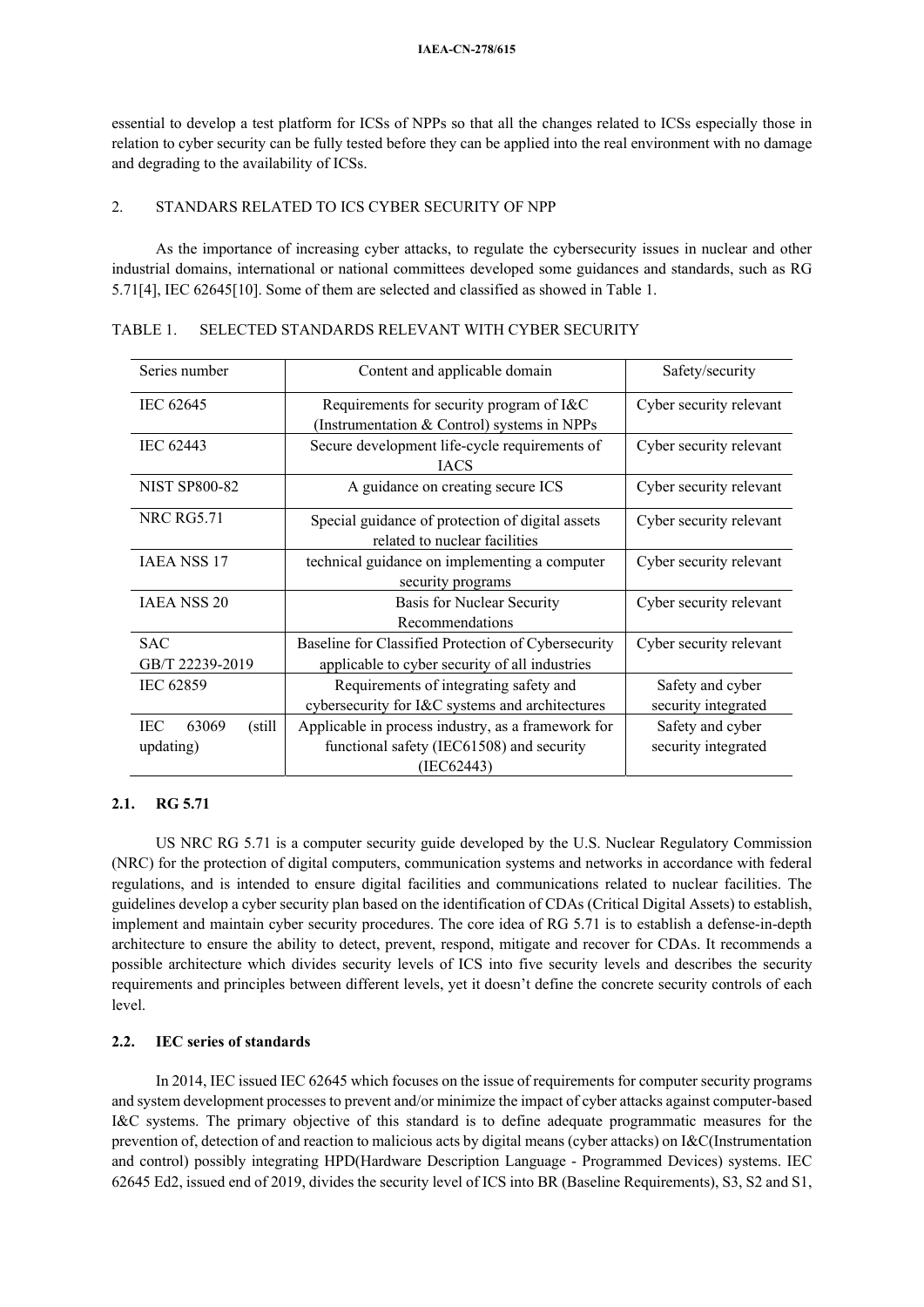essential to develop a test platform for ICSs of NPPs so that all the changes related to ICSs especially those in relation to cyber security can be fully tested before they can be applied into the real environment with no damage and degrading to the availability of ICSs.

# 2. STANDARS RELATED TO ICS CYBER SECURITY OF NPP

As the importance of increasing cyber attacks, to regulate the cybersecurity issues in nuclear and other industrial domains, international or national committees developed some guidances and standards, such as RG 5.71[4], IEC 62645[10]. Some of them are selected and classified as showed in Table 1.

| Series number                        | Content and applicable domain                                                                                 | Safety/security                         |
|--------------------------------------|---------------------------------------------------------------------------------------------------------------|-----------------------------------------|
| IEC 62645                            | Requirements for security program of I&C<br>(Instrumentation & Control) systems in NPPs                       | Cyber security relevant                 |
| IEC 62443                            | Secure development life-cycle requirements of<br><b>IACS</b>                                                  | Cyber security relevant                 |
| <b>NIST SP800-82</b>                 | A guidance on creating secure ICS                                                                             | Cyber security relevant                 |
| <b>NRC RG5.71</b>                    | Special guidance of protection of digital assets<br>related to nuclear facilities                             | Cyber security relevant                 |
| <b>IAEA NSS 17</b>                   | technical guidance on implementing a computer<br>security programs                                            | Cyber security relevant                 |
| <b>JAEA NSS 20</b>                   | Basis for Nuclear Security<br>Recommendations                                                                 | Cyber security relevant                 |
| <b>SAC</b><br>GB/T 22239-2019        | Baseline for Classified Protection of Cybersecurity<br>applicable to cyber security of all industries         | Cyber security relevant                 |
| IEC 62859                            | Requirements of integrating safety and<br>cybersecurity for I&C systems and architectures                     | Safety and cyber<br>security integrated |
| 63069<br>(still)<br>IEC<br>updating) | Applicable in process industry, as a framework for<br>functional safety (IEC61508) and security<br>(IEC62443) | Safety and cyber<br>security integrated |

# TABLE 1. SELECTED STANDARDS RELEVANT WITH CYBER SECURITY

# **2.1. RG 5.71**

US NRC RG 5.71 is a computer security guide developed by the U.S. Nuclear Regulatory Commission (NRC) for the protection of digital computers, communication systems and networks in accordance with federal regulations, and is intended to ensure digital facilities and communications related to nuclear facilities. The guidelines develop a cyber security plan based on the identification of CDAs (Critical Digital Assets) to establish, implement and maintain cyber security procedures. The core idea of RG 5.71 is to establish a defense-in-depth architecture to ensure the ability to detect, prevent, respond, mitigate and recover for CDAs. It recommends a possible architecture which divides security levels of ICS into five security levels and describes the security requirements and principles between different levels, yet it doesn't define the concrete security controls of each level.

## **2.2. IEC series of standards**

In 2014, IEC issued IEC 62645 which focuses on the issue of requirements for computer security programs and system development processes to prevent and/or minimize the impact of cyber attacks against computer-based I&C systems. The primary objective of this standard is to define adequate programmatic measures for the prevention of, detection of and reaction to malicious acts by digital means (cyber attacks) on I&C(Instrumentation and control) possibly integrating HPD(Hardware Description Language - Programmed Devices) systems. IEC 62645 Ed2, issued end of 2019, divides the security level of ICS into BR (Baseline Requirements), S3, S2 and S1,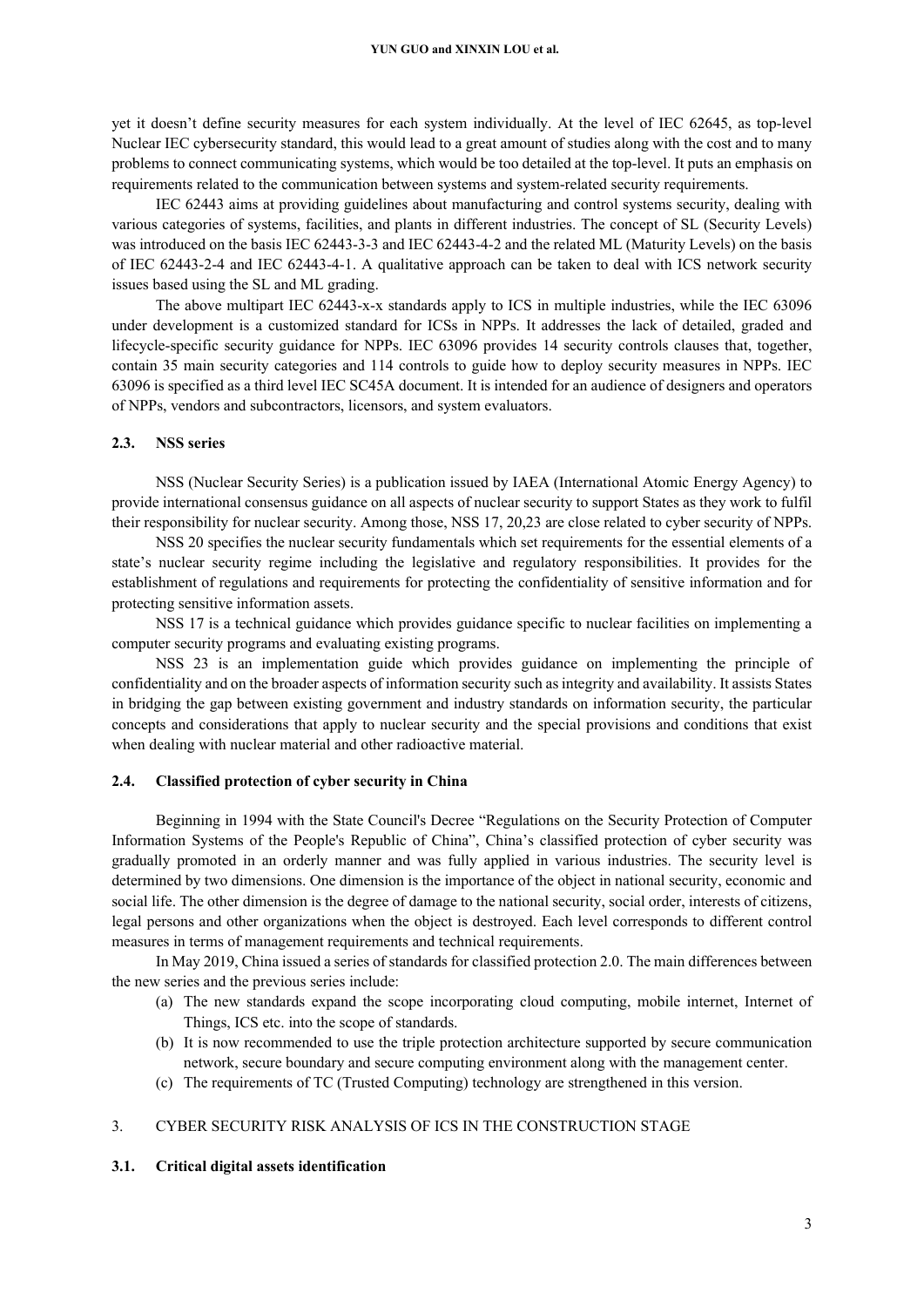#### **YUN GUO and XINXIN LOU et al.**

yet it doesn't define security measures for each system individually. At the level of IEC 62645, as top-level Nuclear IEC cybersecurity standard, this would lead to a great amount of studies along with the cost and to many problems to connect communicating systems, which would be too detailed at the top-level. It puts an emphasis on requirements related to the communication between systems and system-related security requirements.

IEC 62443 aims at providing guidelines about manufacturing and control systems security, dealing with various categories of systems, facilities, and plants in different industries. The concept of SL (Security Levels) was introduced on the basis IEC 62443-3-3 and IEC 62443-4-2 and the related ML (Maturity Levels) on the basis of IEC 62443-2-4 and IEC 62443-4-1. A qualitative approach can be taken to deal with ICS network security issues based using the SL and ML grading.

The above multipart IEC 62443-x-x standards apply to ICS in multiple industries, while the IEC 63096 under development is a customized standard for ICSs in NPPs. It addresses the lack of detailed, graded and lifecycle-specific security guidance for NPPs. IEC 63096 provides 14 security controls clauses that, together, contain 35 main security categories and 114 controls to guide how to deploy security measures in NPPs. IEC 63096 is specified as a third level IEC SC45A document. It is intended for an audience of designers and operators of NPPs, vendors and subcontractors, licensors, and system evaluators.

#### **2.3. NSS series**

NSS (Nuclear Security Series) is a publication issued by IAEA (International Atomic Energy Agency) to provide international consensus guidance on all aspects of nuclear security to support States as they work to fulfil their responsibility for nuclear security. Among those, NSS 17, 20,23 are close related to cyber security of NPPs.

NSS 20 specifies the nuclear security fundamentals which set requirements for the essential elements of a state's nuclear security regime including the legislative and regulatory responsibilities. It provides for the establishment of regulations and requirements for protecting the confidentiality of sensitive information and for protecting sensitive information assets.

NSS 17 is a technical guidance which provides guidance specific to nuclear facilities on implementing a computer security programs and evaluating existing programs.

NSS 23 is an implementation guide which provides guidance on implementing the principle of confidentiality and on the broader aspects of information security such as integrity and availability. It assists States in bridging the gap between existing government and industry standards on information security, the particular concepts and considerations that apply to nuclear security and the special provisions and conditions that exist when dealing with nuclear material and other radioactive material.

#### **2.4. Classified protection of cyber security in China**

Beginning in 1994 with the State Council's Decree "Regulations on the Security Protection of Computer Information Systems of the People's Republic of China", China's classified protection of cyber security was gradually promoted in an orderly manner and was fully applied in various industries. The security level is determined by two dimensions. One dimension is the importance of the object in national security, economic and social life. The other dimension is the degree of damage to the national security, social order, interests of citizens, legal persons and other organizations when the object is destroyed. Each level corresponds to different control measures in terms of management requirements and technical requirements.

In May 2019, China issued a series of standards for classified protection 2.0. The main differences between the new series and the previous series include:

- (a) The new standards expand the scope incorporating cloud computing, mobile internet, Internet of Things, ICS etc. into the scope of standards.
- (b) It is now recommended to use the triple protection architecture supported by secure communication network, secure boundary and secure computing environment along with the management center.
- (c) The requirements of TC (Trusted Computing) technology are strengthened in this version.

## 3. CYBER SECURITY RISK ANALYSIS OF ICS IN THE CONSTRUCTION STAGE

#### **3.1. Critical digital assets identification**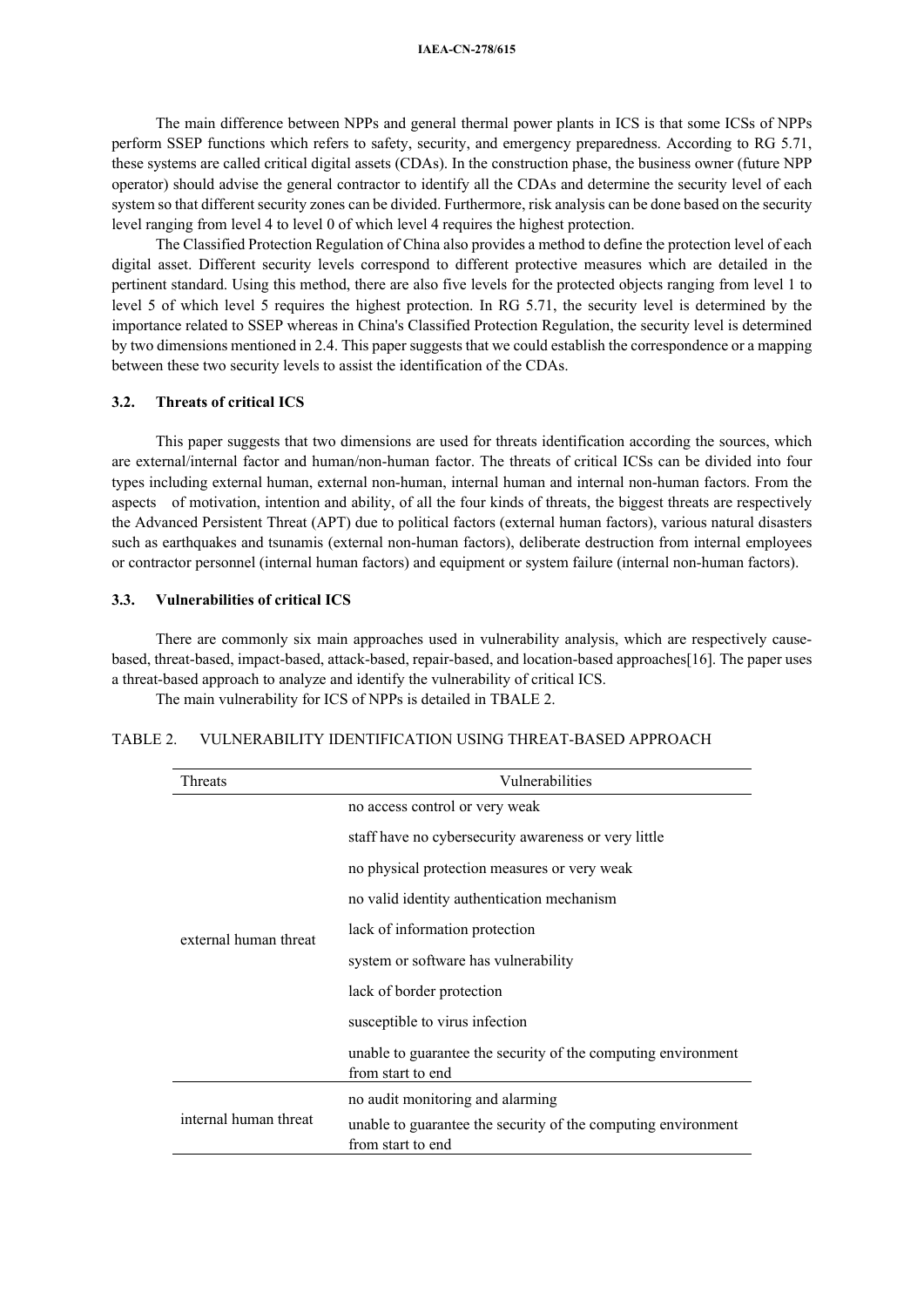The main difference between NPPs and general thermal power plants in ICS is that some ICSs of NPPs perform SSEP functions which refers to safety, security, and emergency preparedness. According to RG 5.71, these systems are called critical digital assets (CDAs). In the construction phase, the business owner (future NPP operator) should advise the general contractor to identify all the CDAs and determine the security level of each system so that different security zones can be divided. Furthermore, risk analysis can be done based on the security level ranging from level 4 to level 0 of which level 4 requires the highest protection.

The Classified Protection Regulation of China also provides a method to define the protection level of each digital asset. Different security levels correspond to different protective measures which are detailed in the pertinent standard. Using this method, there are also five levels for the protected objects ranging from level 1 to level 5 of which level 5 requires the highest protection. In RG 5.71, the security level is determined by the importance related to SSEP whereas in China's Classified Protection Regulation, the security level is determined by two dimensions mentioned in 2.4. This paper suggests that we could establish the correspondence or a mapping between these two security levels to assist the identification of the CDAs.

## **3.2. Threats of critical ICS**

This paper suggests that two dimensions are used for threats identification according the sources, which are external/internal factor and human/non-human factor. The threats of critical ICSs can be divided into four types including external human, external non-human, internal human and internal non-human factors. From the aspects of motivation, intention and ability, of all the four kinds of threats, the biggest threats are respectively the Advanced Persistent Threat (APT) due to political factors (external human factors), various natural disasters such as earthquakes and tsunamis (external non-human factors), deliberate destruction from internal employees or contractor personnel (internal human factors) and equipment or system failure (internal non-human factors).

#### **3.3. Vulnerabilities of critical ICS**

There are commonly six main approaches used in vulnerability analysis, which are respectively causebased, threat-based, impact-based, attack-based, repair-based, and location-based approaches[16]. The paper uses a threat-based approach to analyze and identify the vulnerability of critical ICS.

The main vulnerability for ICS of NPPs is detailed in TBALE 2.

# TABLE 2. VULNERABILITY IDENTIFICATION USING THREAT-BASED APPROACH

| Threats               | Vulnerabilities                                                                    |  |
|-----------------------|------------------------------------------------------------------------------------|--|
| external human threat | no access control or very weak                                                     |  |
|                       | staff have no cybersecurity awareness or very little                               |  |
|                       | no physical protection measures or very weak                                       |  |
|                       | no valid identity authentication mechanism                                         |  |
|                       | lack of information protection                                                     |  |
|                       | system or software has vulnerability                                               |  |
|                       | lack of border protection                                                          |  |
|                       | susceptible to virus infection                                                     |  |
|                       | unable to guarantee the security of the computing environment<br>from start to end |  |
| internal human threat | no audit monitoring and alarming                                                   |  |
|                       | unable to guarantee the security of the computing environment<br>from start to end |  |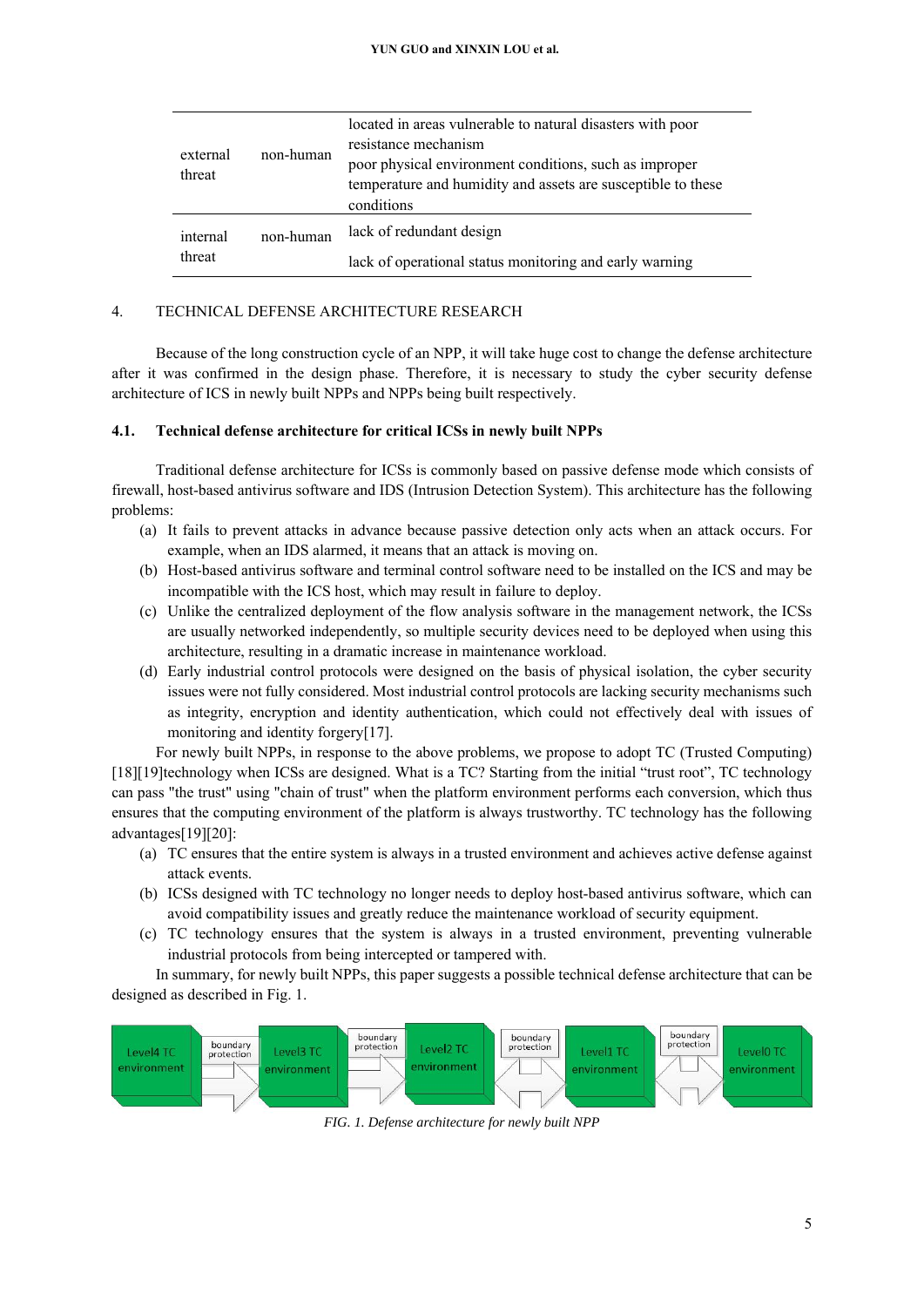| external<br>threat | non-human | located in areas vulnerable to natural disasters with poor<br>resistance mechanism<br>poor physical environment conditions, such as improper<br>temperature and humidity and assets are susceptible to these<br>conditions |
|--------------------|-----------|----------------------------------------------------------------------------------------------------------------------------------------------------------------------------------------------------------------------------|
| internal<br>threat | non-human | lack of redundant design                                                                                                                                                                                                   |
|                    |           | lack of operational status monitoring and early warning                                                                                                                                                                    |

#### 4. TECHNICAL DEFENSE ARCHITECTURE RESEARCH

Because of the long construction cycle of an NPP, it will take huge cost to change the defense architecture after it was confirmed in the design phase. Therefore, it is necessary to study the cyber security defense architecture of ICS in newly built NPPs and NPPs being built respectively.

# **4.1. Technical defense architecture for critical ICSs in newly built NPPs**

Traditional defense architecture for ICSs is commonly based on passive defense mode which consists of firewall, host-based antivirus software and IDS (Intrusion Detection System). This architecture has the following problems:

- (a) It fails to prevent attacks in advance because passive detection only acts when an attack occurs. For example, when an IDS alarmed, it means that an attack is moving on.
- (b) Host-based antivirus software and terminal control software need to be installed on the ICS and may be incompatible with the ICS host, which may result in failure to deploy.
- (c) Unlike the centralized deployment of the flow analysis software in the management network, the ICSs are usually networked independently, so multiple security devices need to be deployed when using this architecture, resulting in a dramatic increase in maintenance workload.
- (d) Early industrial control protocols were designed on the basis of physical isolation, the cyber security issues were not fully considered. Most industrial control protocols are lacking security mechanisms such as integrity, encryption and identity authentication, which could not effectively deal with issues of monitoring and identity forgery[17].

For newly built NPPs, in response to the above problems, we propose to adopt TC (Trusted Computing)

[18][19]technology when ICSs are designed. What is a TC? Starting from the initial "trust root", TC technology can pass "the trust" using "chain of trust" when the platform environment performs each conversion, which thus ensures that the computing environment of the platform is always trustworthy. TC technology has the following advantages[19][20]:

- (a) TC ensures that the entire system is always in a trusted environment and achieves active defense against attack events.
- (b) ICSs designed with TC technology no longer needs to deploy host-based antivirus software, which can avoid compatibility issues and greatly reduce the maintenance workload of security equipment.
- (c) TC technology ensures that the system is always in a trusted environment, preventing vulnerable industrial protocols from being intercepted or tampered with.

In summary, for newly built NPPs, this paper suggests a possible technical defense architecture that can be designed as described in Fig. 1.



*FIG. 1. Defense architecture for newly built NPP*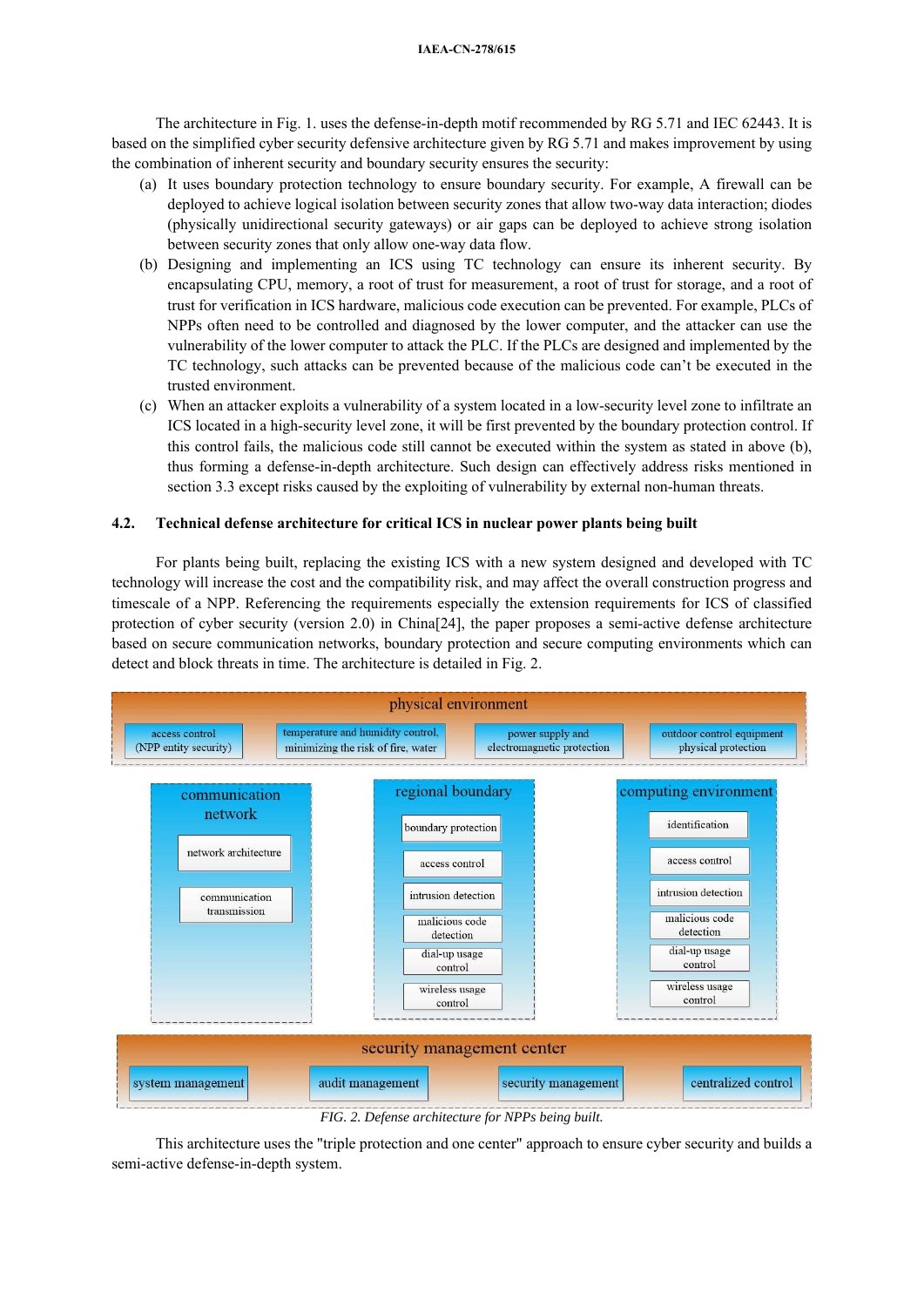#### **IAEA-CN-278/615**

The architecture in Fig. 1. uses the defense-in-depth motif recommended by RG 5.71 and IEC 62443. It is based on the simplified cyber security defensive architecture given by RG 5.71 and makes improvement by using the combination of inherent security and boundary security ensures the security:

- (a) It uses boundary protection technology to ensure boundary security. For example, A firewall can be deployed to achieve logical isolation between security zones that allow two-way data interaction; diodes (physically unidirectional security gateways) or air gaps can be deployed to achieve strong isolation between security zones that only allow one-way data flow.
- (b) Designing and implementing an ICS using TC technology can ensure its inherent security. By encapsulating CPU, memory, a root of trust for measurement, a root of trust for storage, and a root of trust for verification in ICS hardware, malicious code execution can be prevented. For example, PLCs of NPPs often need to be controlled and diagnosed by the lower computer, and the attacker can use the vulnerability of the lower computer to attack the PLC. If the PLCs are designed and implemented by the TC technology, such attacks can be prevented because of the malicious code can't be executed in the trusted environment.
- (c) When an attacker exploits a vulnerability of a system located in a low-security level zone to infiltrate an ICS located in a high-security level zone, it will be first prevented by the boundary protection control. If this control fails, the malicious code still cannot be executed within the system as stated in above (b), thus forming a defense-in-depth architecture. Such design can effectively address risks mentioned in section 3.3 except risks caused by the exploiting of vulnerability by external non-human threats.

# **4.2. Technical defense architecture for critical ICS in nuclear power plants being built**

For plants being built, replacing the existing ICS with a new system designed and developed with TC technology will increase the cost and the compatibility risk, and may affect the overall construction progress and timescale of a NPP. Referencing the requirements especially the extension requirements for ICS of classified protection of cyber security (version 2.0) in China[24], the paper proposes a semi-active defense architecture based on secure communication networks, boundary protection and secure computing environments which can detect and block threats in time. The architecture is detailed in Fig. 2.



This architecture uses the "triple protection and one center" approach to ensure cyber security and builds a semi-active defense-in-depth system.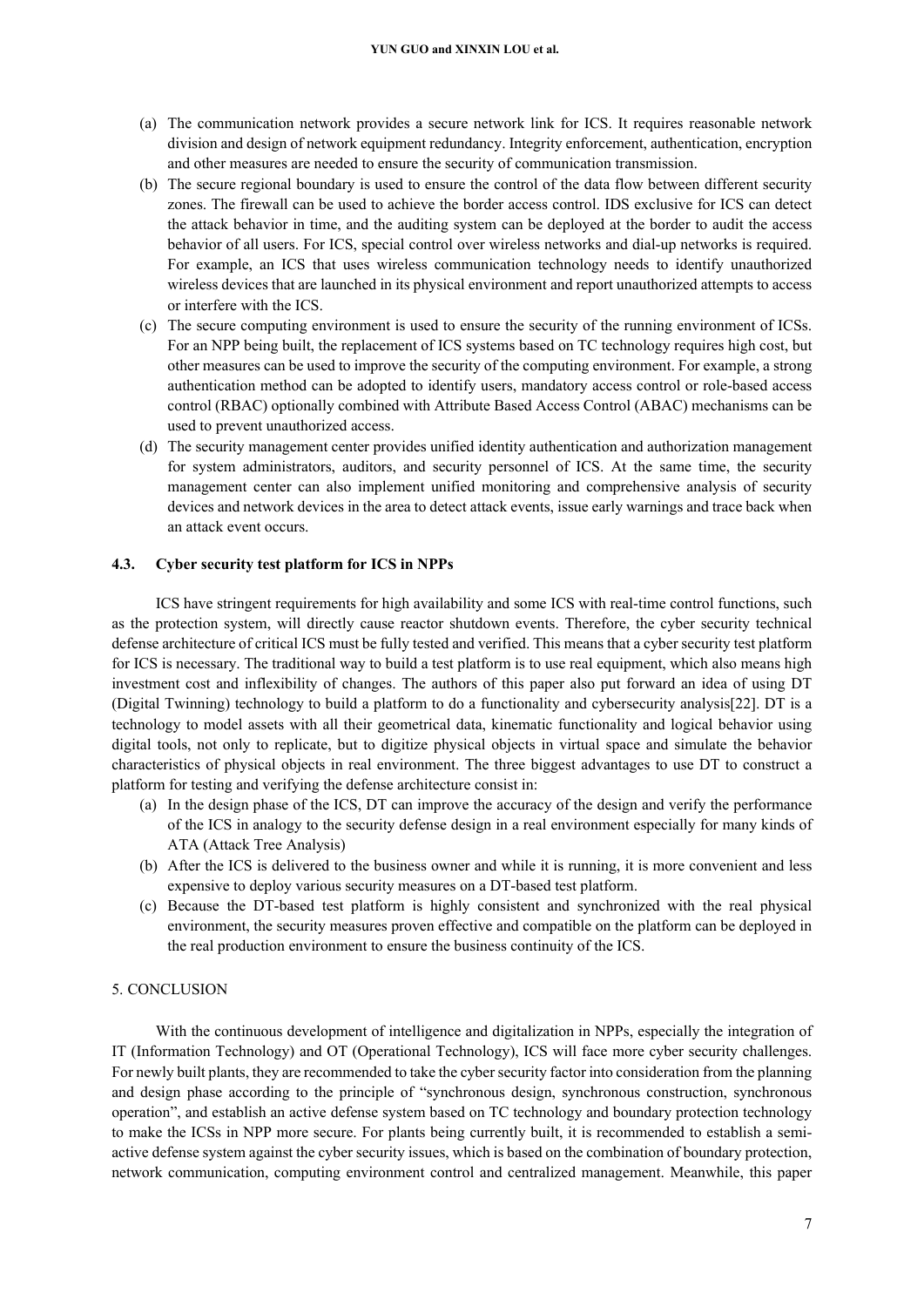- (a) The communication network provides a secure network link for ICS. It requires reasonable network division and design of network equipment redundancy. Integrity enforcement, authentication, encryption and other measures are needed to ensure the security of communication transmission.
- (b) The secure regional boundary is used to ensure the control of the data flow between different security zones. The firewall can be used to achieve the border access control. IDS exclusive for ICS can detect the attack behavior in time, and the auditing system can be deployed at the border to audit the access behavior of all users. For ICS, special control over wireless networks and dial-up networks is required. For example, an ICS that uses wireless communication technology needs to identify unauthorized wireless devices that are launched in its physical environment and report unauthorized attempts to access or interfere with the ICS.
- (c) The secure computing environment is used to ensure the security of the running environment of ICSs. For an NPP being built, the replacement of ICS systems based on TC technology requires high cost, but other measures can be used to improve the security of the computing environment. For example, a strong authentication method can be adopted to identify users, mandatory access control or role-based access control (RBAC) optionally combined with Attribute Based Access Control (ABAC) mechanisms can be used to prevent unauthorized access.
- (d) The security management center provides unified identity authentication and authorization management for system administrators, auditors, and security personnel of ICS. At the same time, the security management center can also implement unified monitoring and comprehensive analysis of security devices and network devices in the area to detect attack events, issue early warnings and trace back when an attack event occurs.

#### **4.3. Cyber security test platform for ICS in NPPs**

ICS have stringent requirements for high availability and some ICS with real-time control functions, such as the protection system, will directly cause reactor shutdown events. Therefore, the cyber security technical defense architecture of critical ICS must be fully tested and verified. This means that a cyber security test platform for ICS is necessary. The traditional way to build a test platform is to use real equipment, which also means high investment cost and inflexibility of changes. The authors of this paper also put forward an idea of using DT (Digital Twinning) technology to build a platform to do a functionality and cybersecurity analysis[22]. DT is a technology to model assets with all their geometrical data, kinematic functionality and logical behavior using digital tools, not only to replicate, but to digitize physical objects in virtual space and simulate the behavior characteristics of physical objects in real environment. The three biggest advantages to use DT to construct a platform for testing and verifying the defense architecture consist in:

- (a) In the design phase of the ICS, DT can improve the accuracy of the design and verify the performance of the ICS in analogy to the security defense design in a real environment especially for many kinds of ATA (Attack Tree Analysis)
- (b) After the ICS is delivered to the business owner and while it is running, it is more convenient and less expensive to deploy various security measures on a DT-based test platform.
- (c) Because the DT-based test platform is highly consistent and synchronized with the real physical environment, the security measures proven effective and compatible on the platform can be deployed in the real production environment to ensure the business continuity of the ICS.

#### 5. CONCLUSION

With the continuous development of intelligence and digitalization in NPPs, especially the integration of IT (Information Technology) and OT (Operational Technology), ICS will face more cyber security challenges. For newly built plants, they are recommended to take the cyber security factor into consideration from the planning and design phase according to the principle of "synchronous design, synchronous construction, synchronous operation", and establish an active defense system based on TC technology and boundary protection technology to make the ICSs in NPP more secure. For plants being currently built, it is recommended to establish a semiactive defense system against the cyber security issues, which is based on the combination of boundary protection, network communication, computing environment control and centralized management. Meanwhile, this paper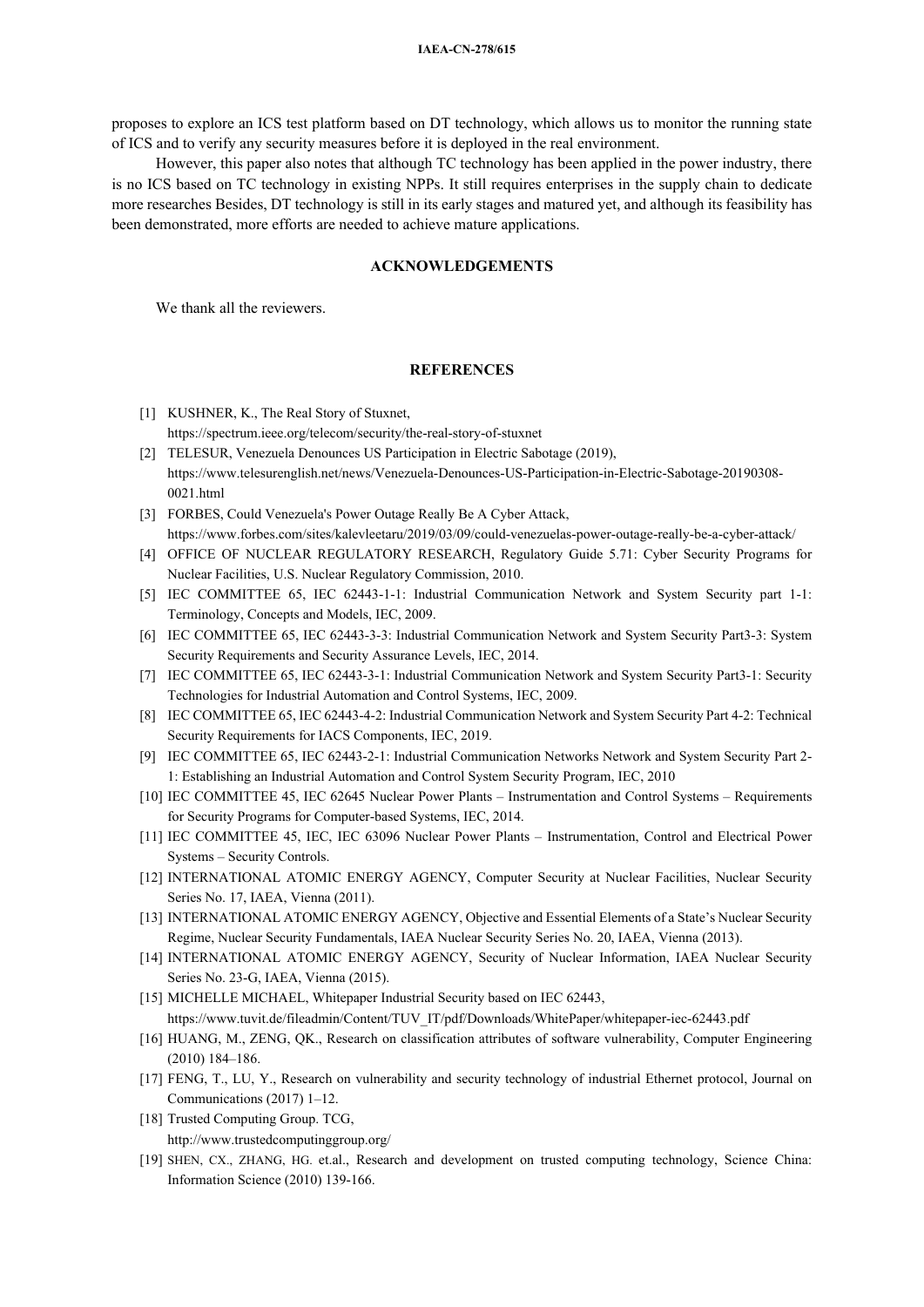proposes to explore an ICS test platform based on DT technology, which allows us to monitor the running state of ICS and to verify any security measures before it is deployed in the real environment.

However, this paper also notes that although TC technology has been applied in the power industry, there is no ICS based on TC technology in existing NPPs. It still requires enterprises in the supply chain to dedicate more researches Besides, DT technology is still in its early stages and matured yet, and although its feasibility has been demonstrated, more efforts are needed to achieve mature applications.

# **ACKNOWLEDGEMENTS**

We thank all the reviewers.

# **REFERENCES**

- [1] KUSHNER, K., The Real Story of Stuxnet, https://spectrum.ieee.org/telecom/security/the-real-story-of-stuxnet
- [2] TELESUR, Venezuela Denounces US Participation in Electric Sabotage (2019), https://www.telesurenglish.net/news/Venezuela-Denounces-US-Participation-in-Electric-Sabotage-20190308- 0021.html
- [3] FORBES, Could Venezuela's Power Outage Really Be A Cyber Attack, https://www.forbes.com/sites/kalevleetaru/2019/03/09/could-venezuelas-power-outage-really-be-a-cyber-attack/
- [4] OFFICE OF NUCLEAR REGULATORY RESEARCH, Regulatory Guide 5.71: Cyber Security Programs for Nuclear Facilities, U.S. Nuclear Regulatory Commission, 2010.
- [5] IEC COMMITTEE 65, IEC 62443-1-1: Industrial Communication Network and System Security part 1-1: Terminology, Concepts and Models, IEC, 2009.
- [6] IEC COMMITTEE 65, IEC 62443-3-3: Industrial Communication Network and System Security Part3-3: System Security Requirements and Security Assurance Levels, IEC, 2014.
- [7] IEC COMMITTEE 65, IEC 62443-3-1: Industrial Communication Network and System Security Part3-1: Security Technologies for Industrial Automation and Control Systems, IEC, 2009.
- [8] IEC COMMITTEE 65, IEC 62443-4-2: Industrial Communication Network and System Security Part 4-2: Technical Security Requirements for IACS Components, IEC, 2019.
- [9] IEC COMMITTEE 65, IEC 62443-2-1: Industrial Communication Networks Network and System Security Part 2- 1: Establishing an Industrial Automation and Control System Security Program, IEC, 2010
- [10] IEC COMMITTEE 45, IEC 62645 Nuclear Power Plants Instrumentation and Control Systems Requirements for Security Programs for Computer-based Systems, IEC, 2014.
- [11] IEC COMMITTEE 45, IEC, IEC 63096 Nuclear Power Plants Instrumentation, Control and Electrical Power Systems – Security Controls.
- [12] INTERNATIONAL ATOMIC ENERGY AGENCY, Computer Security at Nuclear Facilities, Nuclear Security Series No. 17, IAEA, Vienna (2011).
- [13] INTERNATIONAL ATOMIC ENERGY AGENCY, Objective and Essential Elements of a State's Nuclear Security Regime, Nuclear Security Fundamentals, IAEA Nuclear Security Series No. 20, IAEA, Vienna (2013).
- [14] INTERNATIONAL ATOMIC ENERGY AGENCY, Security of Nuclear Information, IAEA Nuclear Security Series No. 23-G, IAEA, Vienna (2015).
- [15] MICHELLE MICHAEL, Whitepaper Industrial Security based on IEC 62443, https://www.tuvit.de/fileadmin/Content/TUV\_IT/pdf/Downloads/WhitePaper/whitepaper-iec-62443.pdf
- [16] HUANG, M., ZENG, QK., Research on classification attributes of software vulnerability, Computer Engineering (2010) 184–186.
- [17] FENG, T., LU, Y., Research on vulnerability and security technology of industrial Ethernet protocol, Journal on Communications (2017) 1–12.
- [18] Trusted Computing Group. TCG, http://www.trustedcomputinggroup.org/
- [19] SHEN, CX., ZHANG, HG. et.al., Research and development on trusted computing technology, Science China: Information Science (2010) 139-166.